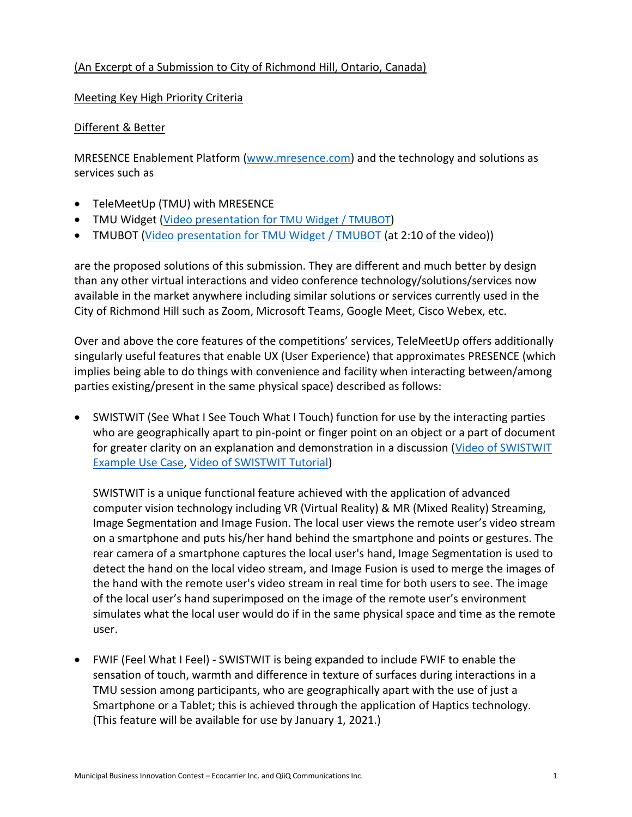### (An Excerpt of a Submission to City of Richmond Hill, Ontario, Canada)

#### Meeting Key High Priority Criteria

#### Different & Better

MRESENCE Enablement Platform [\(www.mresence.com\)](https://www.mresence.com/) and the technology and solutions as services such as

- TeleMeetUp (TMU) with MRESENCE
- TMU Widget [\(Video presentation for](https://www.youtube.com/watch?v=561ebSxYGwA) TMU Widget / [TMUBOT](https://www.youtube.com/watch?v=561ebSxYGwA))
- TMUBOT [\(Video presentation for TMU Widget / TMUBOT](https://www.youtube.com/watch?v=561ebSxYGwA) (at 2:10 of the video))

are the proposed solutions of this submission. They are different and much better by design than any other virtual interactions and video conference technology/solutions/services now available in the market anywhere including similar solutions or services currently used in the City of Richmond Hill such as Zoom, Microsoft Teams, Google Meet, Cisco Webex, etc.

Over and above the core features of the competitions' services, TeleMeetUp offers additionally singularly useful features that enable UX (User Experience) that approximates PRESENCE (which implies being able to do things with convenience and facility when interacting between/among parties existing/present in the same physical space) described as follows:

• SWISTWIT (See What I See Touch What I Touch) function for use by the interacting parties who are geographically apart to pin-point or finger point on an object or a part of document for greater clarity on an explanation and demonstration in a discussion (Video of SWISTWIT [Example Use Case,](https://www.youtube.com/watch?v=_RHqltwhQ74) [Video of SWISTWIT Tutorial\)](https://www.youtube.com/watch?v=dDuAUnoUDAc)

SWISTWIT is a unique functional feature achieved with the application of advanced computer vision technology including VR (Virtual Reality) & MR (Mixed Reality) Streaming, Image Segmentation and Image Fusion. The local user views the remote user's video stream on a smartphone and puts his/her hand behind the smartphone and points or gestures. The rear camera of a smartphone captures the local user's hand, Image Segmentation is used to detect the hand on the local video stream, and Image Fusion is used to merge the images of the hand with the remote user's video stream in real time for both users to see. The image of the local user's hand superimposed on the image of the remote user's environment simulates what the local user would do if in the same physical space and time as the remote user.

• FWIF (Feel What I Feel) - SWISTWIT is being expanded to include FWIF to enable the sensation of touch, warmth and difference in texture of surfaces during interactions in a TMU session among participants, who are geographically apart with the use of just a Smartphone or a Tablet; this is achieved through the application of Haptics technology. (This feature will be available for use by January 1, 2021.)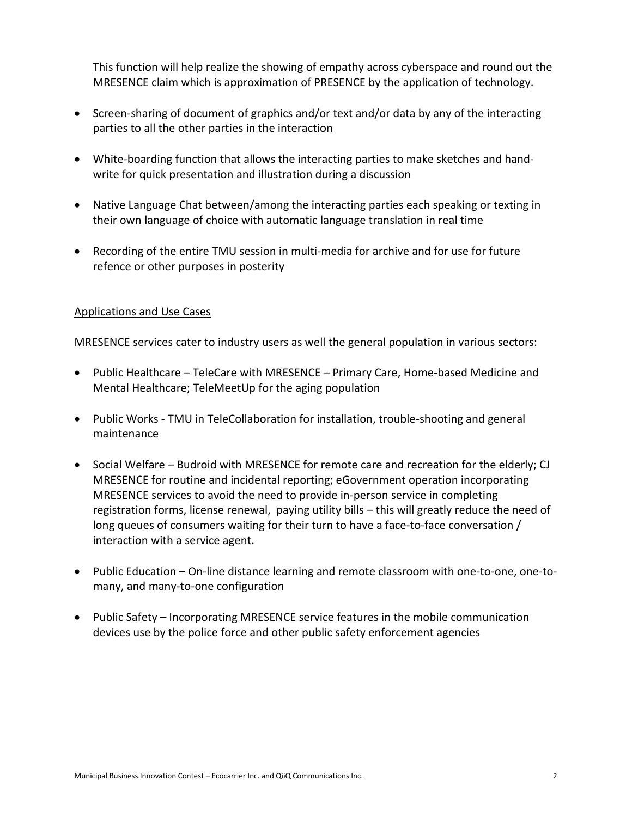This function will help realize the showing of empathy across cyberspace and round out the MRESENCE claim which is approximation of PRESENCE by the application of technology.

- Screen-sharing of document of graphics and/or text and/or data by any of the interacting parties to all the other parties in the interaction
- White-boarding function that allows the interacting parties to make sketches and handwrite for quick presentation and illustration during a discussion
- Native Language Chat between/among the interacting parties each speaking or texting in their own language of choice with automatic language translation in real time
- Recording of the entire TMU session in multi-media for archive and for use for future refence or other purposes in posterity

### Applications and Use Cases

MRESENCE services cater to industry users as well the general population in various sectors:

- Public Healthcare TeleCare with MRESENCE Primary Care, Home-based Medicine and Mental Healthcare; TeleMeetUp for the aging population
- Public Works TMU in TeleCollaboration for installation, trouble-shooting and general maintenance
- Social Welfare Budroid with MRESENCE for remote care and recreation for the elderly; CJ MRESENCE for routine and incidental reporting; eGovernment operation incorporating MRESENCE services to avoid the need to provide in-person service in completing registration forms, license renewal, paying utility bills – this will greatly reduce the need of long queues of consumers waiting for their turn to have a face-to-face conversation / interaction with a service agent.
- Public Education On-line distance learning and remote classroom with one-to-one, one-tomany, and many-to-one configuration
- Public Safety Incorporating MRESENCE service features in the mobile communication devices use by the police force and other public safety enforcement agencies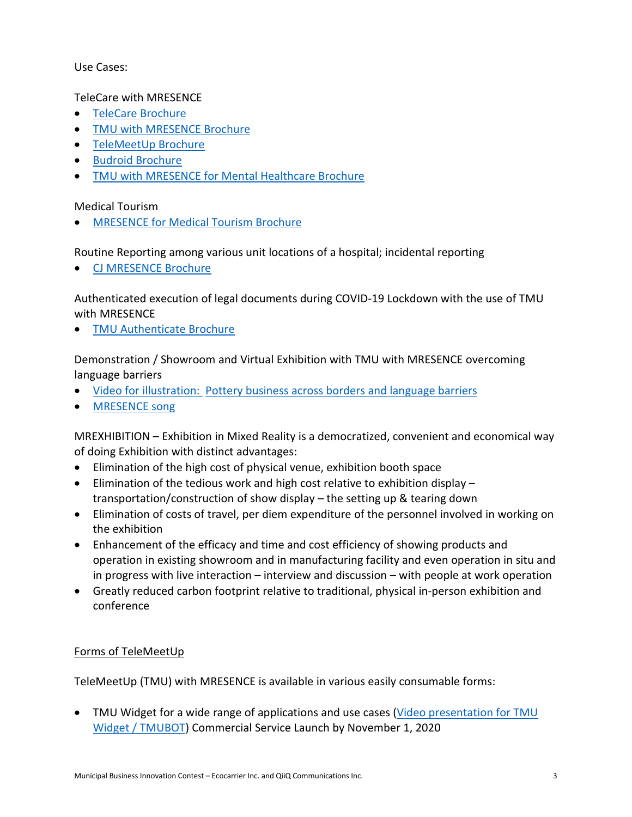### Use Cases:

TeleCare with MRESENCE

- [TeleCare Brochure](https://www.socialedification.com/Revised-Brochures/TeleCare.pdf)
- [TMU with MRESENCE Brochure](https://www.mresence.com/MRESENCE-TMU-Brochure.pdf)
- [TeleMeetUp Brochure](https://www.mresence.com/TeleMeetUp.pdf)
- [Budroid Brochure](https://www.socialedification.com/Revised-Brochures/Budroid.pdf)
- TMU with [MRESENCE](https://www.mresence.com/brochures/TMU-Mental-Healthcare.pdf) for Mental Healthcare Brochure

Medical Tourism

• [MRESENCE for Medical Tourism Brochure](https://www.mresence.com/brochures/TMU-MedicalTourism.pdf)

Routine Reporting among various unit locations of a hospital; incidental reporting

• [CJ MRESENCE Brochure](https://www.socialedification.com/brochures/CJ_MRESENCE.pdf)

Authenticated execution of legal documents during COVID-19 Lockdown with the use of TMU with MRESENCE

**[TMU Authenticate Brochure](https://www.tmucall.com/TMU-Authenticate.pdf)** 

Demonstration / Showroom and Virtual Exhibition with TMU with MRESENCE overcoming language barriers

- Video for illustration: Pottery business across borders and [language](https://youtu.be/OLJhRmIJTQA) barriers
- [MRESENCE song](https://www.youtube.com/watch?v=ljYCE9e1va4)

MREXHIBITION – Exhibition in Mixed Reality is a democratized, convenient and economical way of doing Exhibition with distinct advantages:

- Elimination of the high cost of physical venue, exhibition booth space
- Elimination of the tedious work and high cost relative to exhibition display transportation/construction of show display – the setting up & tearing down
- Elimination of costs of travel, per diem expenditure of the personnel involved in working on the exhibition
- Enhancement of the efficacy and time and cost efficiency of showing products and operation in existing showroom and in manufacturing facility and even operation in situ and in progress with live interaction – interview and discussion – with people at work operation
- Greatly reduced carbon footprint relative to traditional, physical in-person exhibition and conference

### Forms of TeleMeetUp

TeleMeetUp (TMU) with MRESENCE is available in various easily consumable forms:

• TMU Widget for a wide range of applications and use cases (Video presentation for TMU [Widget / TMUBOT\)](https://www.youtube.com/watch?v=561ebSxYGwA) Commercial Service Launch by November 1, 2020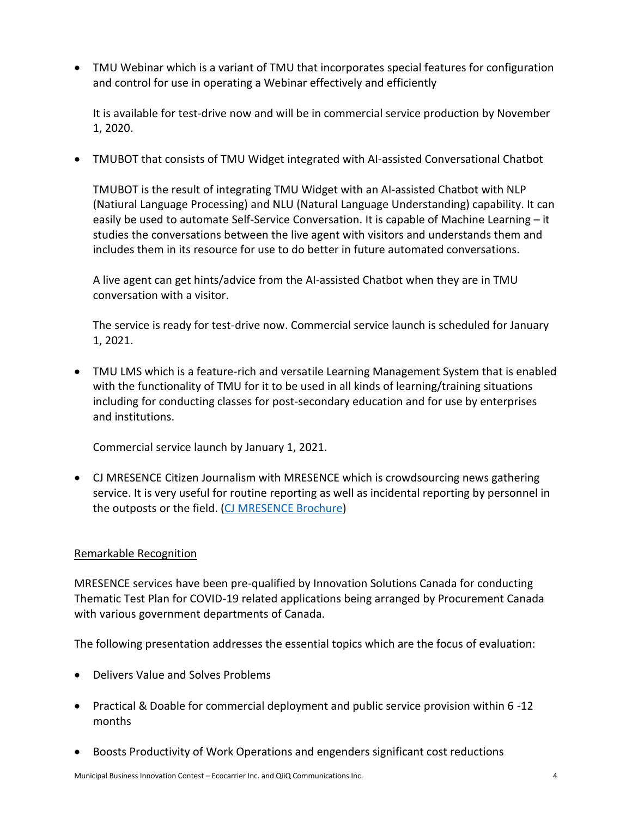• TMU Webinar which is a variant of TMU that incorporates special features for configuration and control for use in operating a Webinar effectively and efficiently

It is available for test-drive now and will be in commercial service production by November 1, 2020.

• TMUBOT that consists of TMU Widget integrated with AI-assisted Conversational Chatbot

TMUBOT is the result of integrating TMU Widget with an AI-assisted Chatbot with NLP (Natiural Language Processing) and NLU (Natural Language Understanding) capability. It can easily be used to automate Self-Service Conversation. It is capable of Machine Learning – it studies the conversations between the live agent with visitors and understands them and includes them in its resource for use to do better in future automated conversations.

A live agent can get hints/advice from the AI-assisted Chatbot when they are in TMU conversation with a visitor.

The service is ready for test-drive now. Commercial service launch is scheduled for January 1, 2021.

• TMU LMS which is a feature-rich and versatile Learning Management System that is enabled with the functionality of TMU for it to be used in all kinds of learning/training situations including for conducting classes for post-secondary education and for use by enterprises and institutions.

Commercial service launch by January 1, 2021.

• CJ MRESENCE Citizen Journalism with MRESENCE which is crowdsourcing news gathering service. It is very useful for routine reporting as well as incidental reporting by personnel in the outposts or the field. [\(CJ MRESENCE Brochure\)](https://www.socialedification.com/brochures/CJ_MRESENCE.pdf)

### Remarkable Recognition

MRESENCE services have been pre-qualified by Innovation Solutions Canada for conducting Thematic Test Plan for COVID-19 related applications being arranged by Procurement Canada with various government departments of Canada.

The following presentation addresses the essential topics which are the focus of evaluation:

- Delivers Value and Solves Problems
- Practical & Doable for commercial deployment and public service provision within 6 -12 months
- Boosts Productivity of Work Operations and engenders significant cost reductions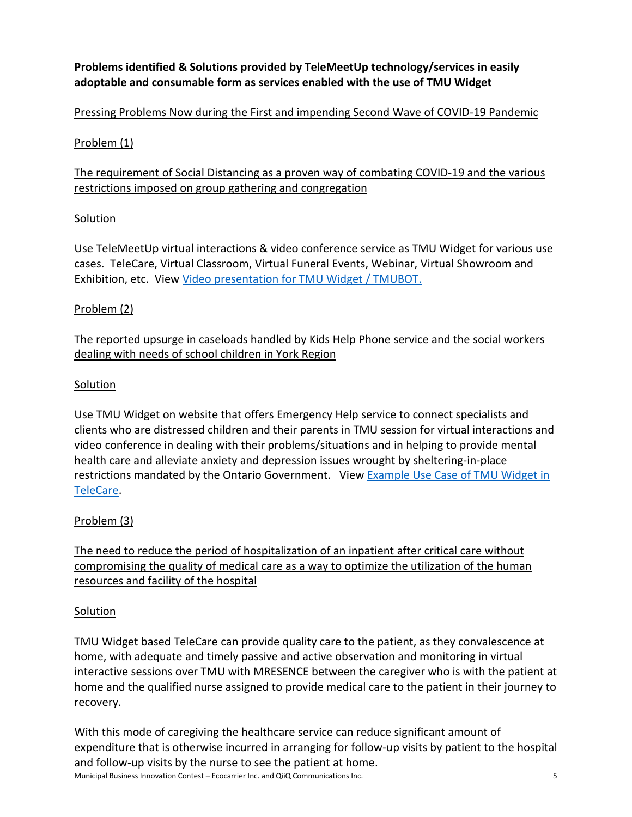# **Problems identified & Solutions provided by TeleMeetUp technology/services in easily adoptable and consumable form as services enabled with the use of TMU Widget**

# Pressing Problems Now during the First and impending Second Wave of COVID-19 Pandemic

## Problem (1)

# The requirement of Social Distancing as a proven way of combating COVID-19 and the various restrictions imposed on group gathering and congregation

# Solution

Use TeleMeetUp virtual interactions & video conference service as TMU Widget for various use cases. TeleCare, Virtual Classroom, Virtual Funeral Events, Webinar, Virtual Showroom and Exhibition, etc. View [Video presentation for TMU Widget / TMUBOT.](https://www.youtube.com/watch?v=561ebSxYGwA)

# Problem (2)

# The reported upsurge in caseloads handled by Kids Help Phone service and the social workers dealing with needs of school children in York Region

### **Solution**

Use TMU Widget on website that offers Emergency Help service to connect specialists and clients who are distressed children and their parents in TMU session for virtual interactions and video conference in dealing with their problems/situations and in helping to provide mental health care and alleviate anxiety and depression issues wrought by sheltering-in-place restrictions mandated by the Ontario Government. View [Example Use Case of TMU Widget in](https://www.youtube.com/watch?v=5CnWrhB5T-o)  [TeleCare.](https://www.youtube.com/watch?v=5CnWrhB5T-o)

# Problem (3)

The need to reduce the period of hospitalization of an inpatient after critical care without compromising the quality of medical care as a way to optimize the utilization of the human resources and facility of the hospital

### Solution

TMU Widget based TeleCare can provide quality care to the patient, as they convalescence at home, with adequate and timely passive and active observation and monitoring in virtual interactive sessions over TMU with MRESENCE between the caregiver who is with the patient at home and the qualified nurse assigned to provide medical care to the patient in their journey to recovery.

Municipal Business Innovation Contest – Ecocarrier Inc. and QiiQ Communications Inc. 5 With this mode of caregiving the healthcare service can reduce significant amount of expenditure that is otherwise incurred in arranging for follow-up visits by patient to the hospital and follow-up visits by the nurse to see the patient at home.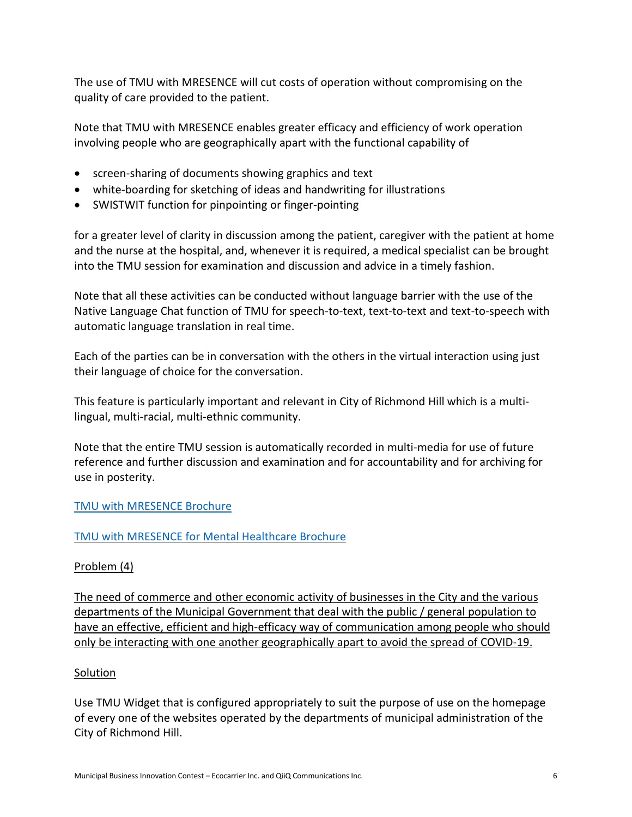The use of TMU with MRESENCE will cut costs of operation without compromising on the quality of care provided to the patient.

Note that TMU with MRESENCE enables greater efficacy and efficiency of work operation involving people who are geographically apart with the functional capability of

- screen-sharing of documents showing graphics and text
- white-boarding for sketching of ideas and handwriting for illustrations
- SWISTWIT function for pinpointing or finger-pointing

for a greater level of clarity in discussion among the patient, caregiver with the patient at home and the nurse at the hospital, and, whenever it is required, a medical specialist can be brought into the TMU session for examination and discussion and advice in a timely fashion.

Note that all these activities can be conducted without language barrier with the use of the Native Language Chat function of TMU for speech-to-text, text-to-text and text-to-speech with automatic language translation in real time.

Each of the parties can be in conversation with the others in the virtual interaction using just their language of choice for the conversation.

This feature is particularly important and relevant in City of Richmond Hill which is a multilingual, multi-racial, multi-ethnic community.

Note that the entire TMU session is automatically recorded in multi-media for use of future reference and further discussion and examination and for accountability and for archiving for use in posterity.

### TMU with [MRESENCE](https://www.mresence.com/MRESENCE-TMU-Brochure.pdf) Brochure

### TMU with [MRESENCE](https://www.mresence.com/brochures/TMU-Mental-Healthcare.pdf) for Mental Healthcare Brochure

### Problem (4)

The need of commerce and other economic activity of businesses in the City and the various departments of the Municipal Government that deal with the public / general population to have an effective, efficient and high-efficacy way of communication among people who should only be interacting with one another geographically apart to avoid the spread of COVID-19.

### Solution

Use TMU Widget that is configured appropriately to suit the purpose of use on the homepage of every one of the websites operated by the departments of municipal administration of the City of Richmond Hill.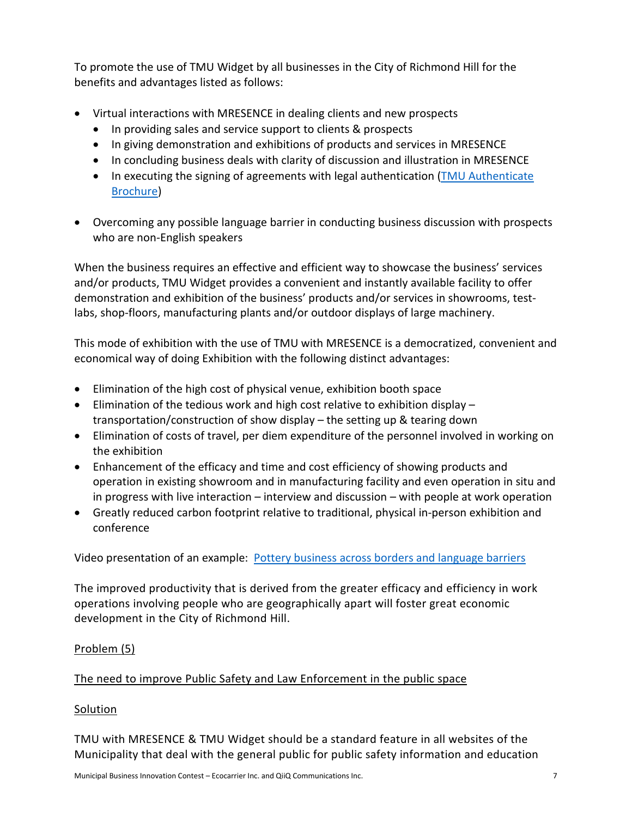To promote the use of TMU Widget by all businesses in the City of Richmond Hill for the benefits and advantages listed as follows:

- Virtual interactions with MRESENCE in dealing clients and new prospects
	- In providing sales and service support to clients & prospects
	- In giving demonstration and exhibitions of products and services in MRESENCE
	- In concluding business deals with clarity of discussion and illustration in MRESENCE
	- In executing the signing of agreements with legal authentication (TMU [Authenticate](https://www.tmucall.com/TMU-Authenticate.pdf) [Brochure\)](https://www.tmucall.com/TMU-Authenticate.pdf)
- Overcoming any possible language barrier in conducting business discussion with prospects who are non-English speakers

When the business requires an effective and efficient way to showcase the business' services and/or products, TMU Widget provides a convenient and instantly available facility to offer demonstration and exhibition of the business' products and/or services in showrooms, testlabs, shop-floors, manufacturing plants and/or outdoor displays of large machinery.

This mode of exhibition with the use of TMU with MRESENCE is a democratized, convenient and economical way of doing Exhibition with the following distinct advantages:

- Elimination of the high cost of physical venue, exhibition booth space
- Elimination of the tedious work and high cost relative to exhibition display transportation/construction of show display – the setting up & tearing down
- Elimination of costs of travel, per diem expenditure of the personnel involved in working on the exhibition
- Enhancement of the efficacy and time and cost efficiency of showing products and operation in existing showroom and in manufacturing facility and even operation in situ and in progress with live interaction – interview and discussion – with people at work operation
- Greatly reduced carbon footprint relative to traditional, physical in-person exhibition and conference

Video presentation of an example: Pottery business across borders and [language](https://youtu.be/OLJhRmIJTQA) barriers

The improved productivity that is derived from the greater efficacy and efficiency in work operations involving people who are geographically apart will foster great economic development in the City of Richmond Hill.

### Problem (5)

### The need to improve Public Safety and Law Enforcement in the public space

### **Solution**

TMU with MRESENCE & TMU Widget should be a standard feature in all websites of the Municipality that deal with the general public for public safety information and education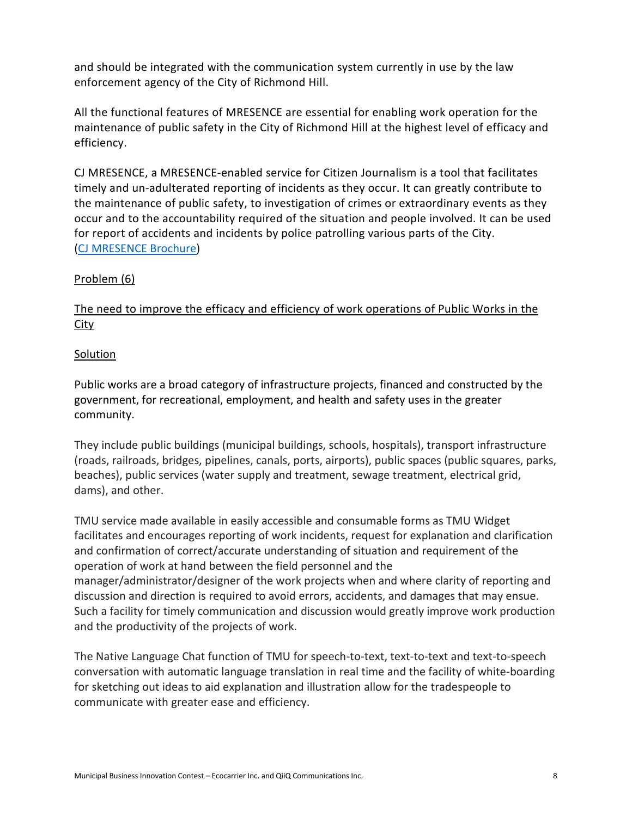and should be integrated with the communication system currently in use by the law enforcement agency of the City of Richmond Hill.

All the functional features of MRESENCE are essential for enabling work operation for the maintenance of public safety in the City of Richmond Hill at the highest level of efficacy and efficiency.

CJ MRESENCE, a MRESENCE-enabled service for Citizen Journalism is a tool that facilitates timely and un-adulterated reporting of incidents as they occur. It can greatly contribute to the maintenance of public safety, to investigation of crimes or extraordinary events as they occur and to the accountability required of the situation and people involved. It can be used for report of accidents and incidents by police patrolling various parts of the City. (CJ [MRESENCE](https://www.socialedification.com/brochures/CJ_MRESENCE.pdf) Brochure)

### Problem (6)

### The need to improve the efficacy and efficiency of work operations of Public Works in the **City**

### Solution

Public works are a broad category of infrastructure projects, financed and constructed by the government, for recreational, employment, and health and safety uses in the greater community.

They include public buildings (municipal buildings, schools, hospitals), transport infrastructure (roads, railroads, bridges, pipelines, canals, ports, airports), public spaces (public squares, parks, beaches), public services (water supply and treatment, sewage treatment, electrical grid, dams), and other.

TMU service made available in easily accessible and consumable forms as TMU Widget facilitates and encourages reporting of work incidents, request for explanation and clarification and confirmation of correct/accurate understanding of situation and requirement of the operation of work at hand between the field personnel and the manager/administrator/designer of the work projects when and where clarity of reporting and discussion and direction is required to avoid errors, accidents, and damages that may ensue. Such a facility for timely communication and discussion would greatly improve work production and the productivity of the projects of work.

The Native Language Chat function of TMU for speech-to-text, text-to-text and text-to-speech conversation with automatic language translation in real time and the facility of white-boarding for sketching out ideas to aid explanation and illustration allow for the tradespeople to communicate with greater ease and efficiency.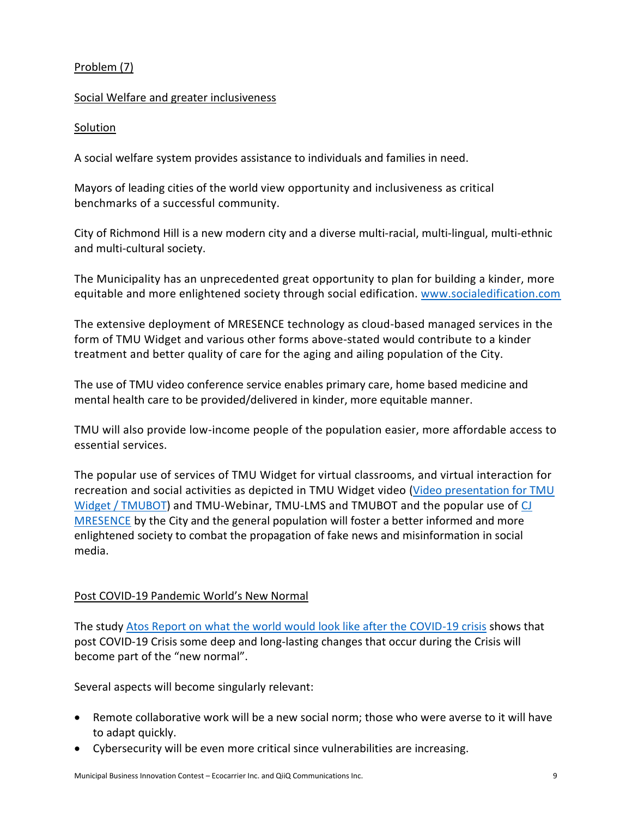### Problem (7)

#### Social Welfare and greater inclusiveness

#### Solution

A social welfare system provides assistance to individuals and families in need.

Mayors of leading cities of the world view opportunity and inclusiveness as critical benchmarks of a successful community.

City of Richmond Hill is a new modern city and a diverse multi-racial, multi-lingual, multi-ethnic and multi-cultural society.

The Municipality has an unprecedented great opportunity to plan for building a kinder, more equitable and more enlightened society through social edification. [www.socialedification.com](https://www.socialedification.com/)

The extensive deployment of MRESENCE technology as cloud-based managed services in the form of TMU Widget and various other forms above-stated would contribute to a kinder treatment and better quality of care for the aging and ailing population of the City.

The use of TMU video conference service enables primary care, home based medicine and mental health care to be provided/delivered in kinder, more equitable manner.

TMU will also provide low-income people of the population easier, more affordable access to essential services.

The popular use of services of TMU Widget for virtual classrooms, and virtual interaction for recreation and social activities as depicted in TMU Widget video [\(Video presentation for TMU](https://www.youtube.com/watch?v=561ebSxYGwA)  [Widget / TMUBOT\)](https://www.youtube.com/watch?v=561ebSxYGwA) and TMU-Webinar, TMU-LMS and TMUBOT and the popular use of [CJ](https://www.socialedification.com/brochures/CJ_MRESENCE.pdf) [MRESENCE](https://www.socialedification.com/brochures/CJ_MRESENCE.pdf) by the City and the general population will foster a better informed and more enlightened society to combat the propagation of fake news and misinformation in social media.

### Post COVID-19 Pandemic World's New Normal

The study [Atos Report on what the world would look like after the COVID-19 crisis](https://atos.net/content/2020/atos-report-what-the-world-will-look-like-after-the-covid-19-crisis.pdf) shows that post COVID-19 Crisis some deep and long-lasting changes that occur during the Crisis will become part of the "new normal".

Several aspects will become singularly relevant:

- Remote collaborative work will be a new social norm; those who were averse to it will have to adapt quickly.
- Cybersecurity will be even more critical since vulnerabilities are increasing.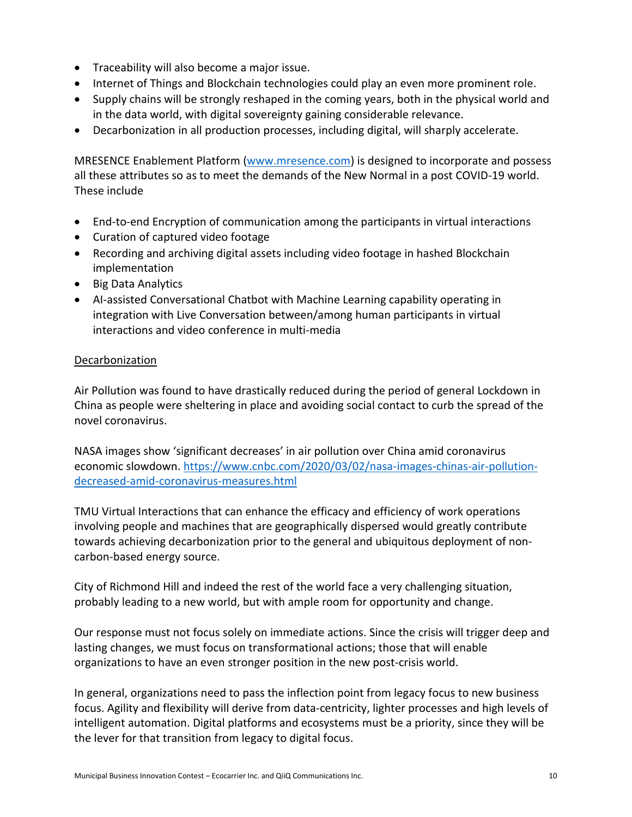- Traceability will also become a major issue.
- Internet of Things and Blockchain technologies could play an even more prominent role.
- Supply chains will be strongly reshaped in the coming years, both in the physical world and in the data world, with digital sovereignty gaining considerable relevance.
- Decarbonization in all production processes, including digital, will sharply accelerate.

MRESENCE Enablement Platform [\(www.mresence.com\)](https://www.mresence.com/) is designed to incorporate and possess all these attributes so as to meet the demands of the New Normal in a post COVID-19 world. These include

- End-to-end Encryption of communication among the participants in virtual interactions
- Curation of captured video footage
- Recording and archiving digital assets including video footage in hashed Blockchain implementation
- Big Data Analytics
- AI-assisted Conversational Chatbot with Machine Learning capability operating in integration with Live Conversation between/among human participants in virtual interactions and video conference in multi-media

### Decarbonization

Air Pollution was found to have drastically reduced during the period of general Lockdown in China as people were sheltering in place and avoiding social contact to curb the spread of the novel coronavirus.

NASA images show 'significant decreases' in air pollution over China amid coronavirus economic slowdown. [https://www.cnbc.com/2020/03/02/nasa-images-chinas-air-pollution](https://www.cnbc.com/2020/03/02/nasa-images-chinas-air-pollution-decreased-amid-coronavirus-measures.html)[decreased-amid-coronavirus-measures.html](https://www.cnbc.com/2020/03/02/nasa-images-chinas-air-pollution-decreased-amid-coronavirus-measures.html)

TMU Virtual Interactions that can enhance the efficacy and efficiency of work operations involving people and machines that are geographically dispersed would greatly contribute towards achieving decarbonization prior to the general and ubiquitous deployment of noncarbon-based energy source.

City of Richmond Hill and indeed the rest of the world face a very challenging situation, probably leading to a new world, but with ample room for opportunity and change.

Our response must not focus solely on immediate actions. Since the crisis will trigger deep and lasting changes, we must focus on transformational actions; those that will enable organizations to have an even stronger position in the new post-crisis world.

In general, organizations need to pass the inflection point from legacy focus to new business focus. Agility and flexibility will derive from data-centricity, lighter processes and high levels of intelligent automation. Digital platforms and ecosystems must be a priority, since they will be the lever for that transition from legacy to digital focus.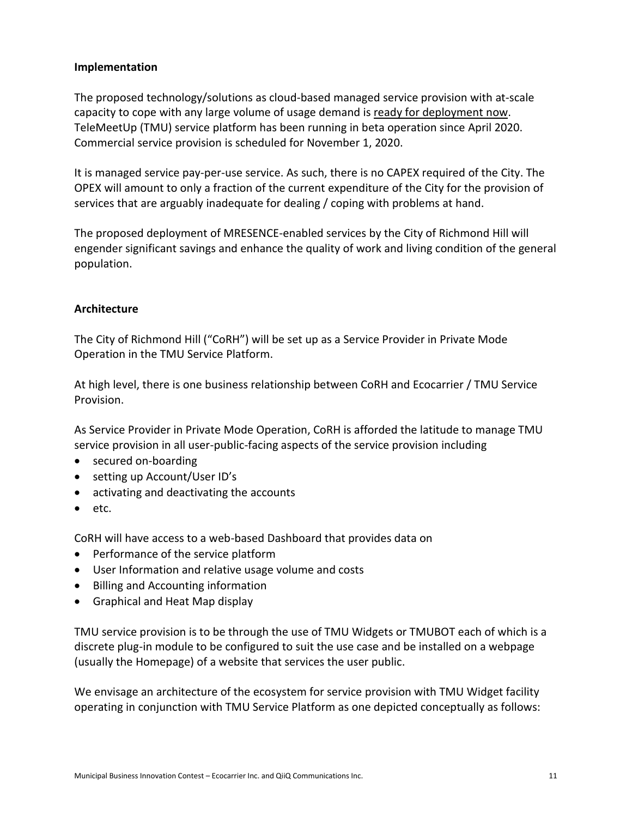### **Implementation**

The proposed technology/solutions as cloud-based managed service provision with at-scale capacity to cope with any large volume of usage demand is ready for deployment now. TeleMeetUp (TMU) service platform has been running in beta operation since April 2020. Commercial service provision is scheduled for November 1, 2020.

It is managed service pay-per-use service. As such, there is no CAPEX required of the City. The OPEX will amount to only a fraction of the current expenditure of the City for the provision of services that are arguably inadequate for dealing / coping with problems at hand.

The proposed deployment of MRESENCE-enabled services by the City of Richmond Hill will engender significant savings and enhance the quality of work and living condition of the general population.

### **Architecture**

The City of Richmond Hill ("CoRH") will be set up as a Service Provider in Private Mode Operation in the TMU Service Platform.

At high level, there is one business relationship between CoRH and Ecocarrier / TMU Service Provision.

As Service Provider in Private Mode Operation, CoRH is afforded the latitude to manage TMU service provision in all user-public-facing aspects of the service provision including

- secured on-boarding
- setting up Account/User ID's
- activating and deactivating the accounts
- etc.

CoRH will have access to a web-based Dashboard that provides data on

- Performance of the service platform
- User Information and relative usage volume and costs
- Billing and Accounting information
- Graphical and Heat Map display

TMU service provision is to be through the use of TMU Widgets or TMUBOT each of which is a discrete plug-in module to be configured to suit the use case and be installed on a webpage (usually the Homepage) of a website that services the user public.

We envisage an architecture of the ecosystem for service provision with TMU Widget facility operating in conjunction with TMU Service Platform as one depicted conceptually as follows: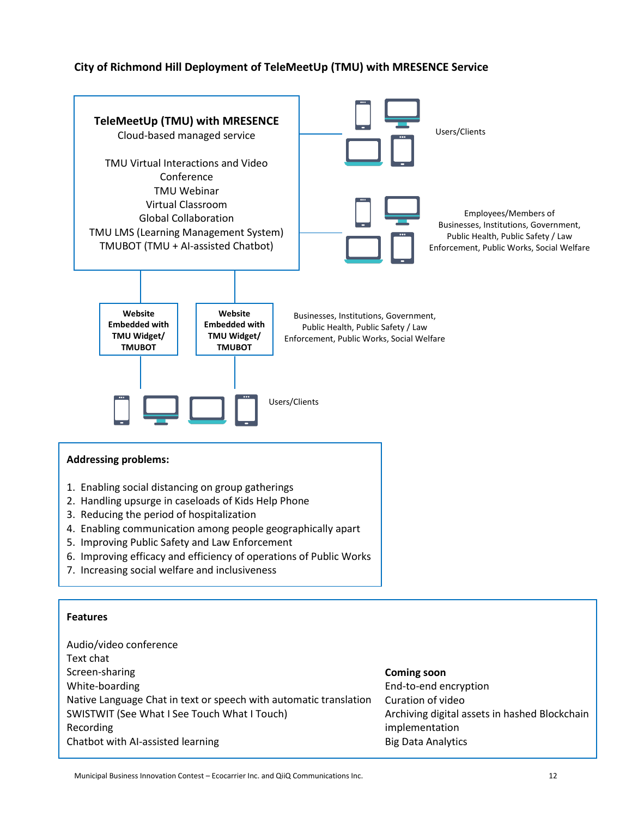### **City of Richmond Hill Deployment of TeleMeetUp (TMU) with MRESENCE Service**

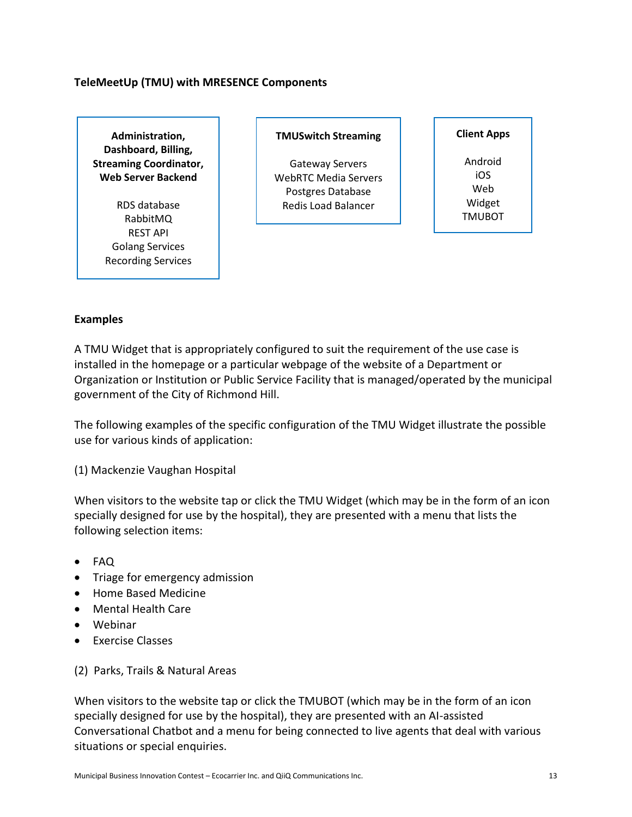### **TeleMeetUp (TMU) with MRESENCE Components**

**Administration, Dashboard, Billing, Streaming Coordinator, Web Server Backend**

> RDS database RabbitMQ REST API Golang Services Recording Services

#### **TMUSwitch Streaming**

Gateway Servers WebRTC Media Servers Postgres Database Redis Load Balancer

#### **Client Apps**

Android iOS Web Widget TMUBOT

#### **Examples**

A TMU Widget that is appropriately configured to suit the requirement of the use case is installed in the homepage or a particular webpage of the website of a Department or Organization or Institution or Public Service Facility that is managed/operated by the municipal government of the City of Richmond Hill.

The following examples of the specific configuration of the TMU Widget illustrate the possible use for various kinds of application:

(1) Mackenzie Vaughan Hospital

When visitors to the website tap or click the TMU Widget (which may be in the form of an icon specially designed for use by the hospital), they are presented with a menu that lists the following selection items:

- FAQ
- Triage for emergency admission
- Home Based Medicine
- Mental Health Care
- Webinar
- Exercise Classes
- (2) Parks, Trails & Natural Areas

When visitors to the website tap or click the TMUBOT (which may be in the form of an icon specially designed for use by the hospital), they are presented with an AI-assisted Conversational Chatbot and a menu for being connected to live agents that deal with various situations or special enquiries.